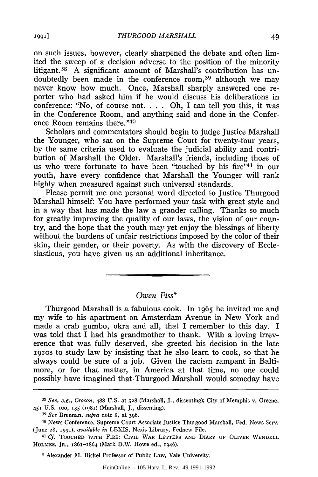on such issues, however, clearly sharpened the debate and often limited the sweep of a decision adverse to the position of the minority litigant. 38 A significant amount of Marshall's contribution has undoubtedly been made in the conference room,  $39$  although we may never know how much. Once, Marshall sharply answered one reporter who had asked him if he would discuss his deliberations in conference: "No, of course not. . **.** . Oh, I can tell you this, it was in the Conference Room, and anything said and done in the Conference Room remains there."40

Scholars and commentators should begin to judge Justice Marshall the Younger, who sat on the Supreme Court for twenty-four years, by the same criteria used to evaluate the judicial ability and contribution of Marshall the Older. Marshall's friends, including those of us who were fortunate to have been "touched by his fire"41 in our youth, have every confidence that Marshall the Younger will rank highly when measured against such universal standards.

Please permit me one personal word directed to Justice Thurgood Marshall himself: You have performed your task with great style and in a way that has made the law a grander calling. Thanks so much for greatly improving the quality of our laws, the vision of our country, and the hope that the youth may yet enjoy the blessings of liberty without the burdens of unfair restrictions imposed by the color of their skin, their gender, or their poverty. As with the discovery of Ecclesiasticus, you have given us an additional inheritance.

## *Owen Fiss\**

Thurgood Marshall is a fabulous cook. In 1965 he invited me and my wife to his apartment on Amsterdam Avenue in New York and made a crab gumbo, okra and all, that I remember to this day. I was told that I had his grandmother to thank. With a loving irreverence that was fully deserved, she greeted his decision in the late **1920S** to study law by insisting that he also learn to cook, so that he always could be sure of a job. Given the racism rampant in Baltimore, or for that matter, in America at that time, no one could possibly have imagined that.Thurgood Marshall would someday have

*<sup>38</sup>*See, e.g., Croson, 488 U.S. at 528 (Marshall, **J.,** dissenting); City of Memphis v. Greene, **451** U.S. **100, 135** (i98i) (Marshall, **J.,** dissenting).

**<sup>39</sup>***See* Brennan, *supra* note 8, at 396.

<sup>40</sup> News Conference, Supreme Court Associate Justice Thurgood Marshall, Fed. News Serv. (June **28, i998),** *available in* LEXIS, Nexis Library, Fednew File.

<sup>41</sup>*Cf.* TOUCHED **WITH** FIRE: **CIVIL** WAR LETTERS **AND** DIARY **OF** OLIVER **WENDELL** HOLMES, JR., 1861-1864 (Mark D.W. Howe ed., 1946).

**<sup>\*</sup>** Alexander M. Bickel Professor of Public Law, Yale University.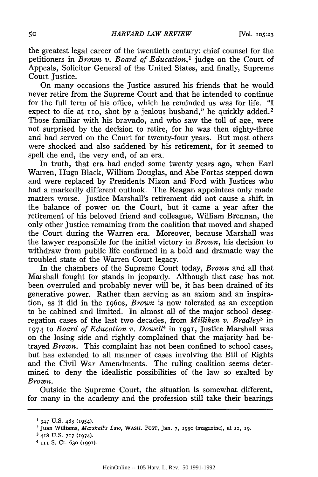the greatest legal career of the twentieth century: chief counsel for the petitioners in *Brown v. Board of Education,'* judge on the Court of Appeals, Solicitor General of the United States, and finally, Supreme Court Justice.

On many occasions the Justice assured his friends that he would never retire from the Supreme Court and that he intended to continue for the full term of his office, which he reminded us was for life. "I expect to die at 110, shot by a jealous husband," he quickly added.<sup>2</sup> Those familiar with his bravado, and who saw the toll of age, were not surprised by the decision to retire, for he was then eighty-three and had served on the Court for twenty-four years. But most others were shocked and also saddened by his retirement, for it seemed to spell the end, the very end, of an era.

In truth, that era had ended some twenty years ago, when Earl Warren, Hugo Black, William Douglas, and Abe Fortas stepped down and were replaced by Presidents Nixon and Ford with Justices who had a markedly different outlook. The Reagan appointees only made matters worse. Justice Marshall's retirement did not cause a shift in the balance of power on the Court, but it came a year after the retirement of his beloved friend and colleague, William Brennan, the only other Justice remaining from the coalition that moved and shaped the Court during the Warren era. Moreover, because Marshall was the lawyer responsible for the initial victory in *Brown,* his decision to withdraw from public life confirmed in a bold and dramatic way the troubled state of the Warren Court legacy.

In the chambers of the Supreme Court today, *Brown* and all that Marshall fought for stands in jeopardy. Although that case has not been overruled and probably never will be, it has been drained of its generative power. Rather than serving as an axiom and an inspiration, as it did in the 1960s, *Brown* is now tolerated as an exception to be cabined and limited. In almost all of the major school desegregation cases of the last two decades, from *Milliken v. Bradley3* in 1974 to *Board of Education v. Dowell4* in I991, Justice Marshall was on the losing side and rightly complained that the majority had betrayed *Brown.* This complaint has not been confined to school cases, but has extended to all manner of cases involving the Bill of Rights and the Civil War Amendments. The ruling coalition seems determined to deny the idealistic possibilities of the law so exalted by *Brown.*

Outside the Supreme Court, the situation is somewhat different, for many in the academy and the profession still take their bearings

**<sup>1</sup>** 347 U.S. 483 **(i954).**

<sup>2</sup> Juan Williams, *Marshall's Law,* WASH. POST, Jan. 7, i9go (magazine), at **12, 19.**

*<sup>3</sup>* 418 U.S. **717** (1974).

<sup>4</sup>**1i1** S. Ct. **630** (1991).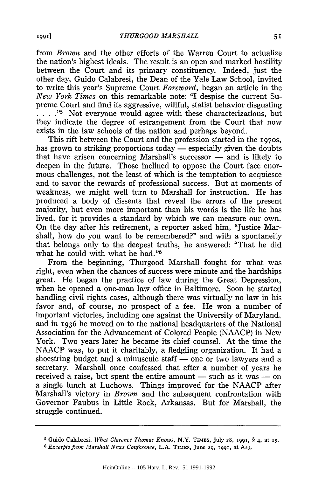from *Brown* and the other efforts of the Warren Court to actualize the nation's highest ideals. The result is an open and marked hostility between the Court and its primary constituency. Indeed, just the other day, Guido Calabresi, the Dean of the Yale Law School, invited to write this year's Supreme Court *Foreword,* began an article in the *New York Times* on this remarkable note: "I despise the current Supreme Court and find its aggressive, willful, statist behavior disgusting  $\ldots$ ...<sup>35</sup> Not everyone would agree with these characterizations, but they indicate the degree of estrangement from the Court that now exists in the law schools of the nation and perhaps beyond.

This rift between the Court and the profession started in the 1970s, has grown to striking proportions today  $-$  especially given the doubts that have arisen concerning Marshall's successor  $-$  and is likely to deepen in the future. Those inclined to oppose the Court face enormous challenges, not the least of which is the temptation to acquiesce and to savor the rewards of professional success. But at moments of weakness, we might well turn to Marshall for instruction. He has produced a body of dissents that reveal the errors of the present majority, but even more important than his words is the life he has lived, for it provides a standard by which we can measure our own. On the day after his retirement, a reporter asked him, "Justice Marshall, how do you want to be remembered?" and with a spontaneity that belongs only to the deepest truths, he answered: "That he did what he could with what he had."<sup>6</sup>

From the beginning, Thurgood Marshall fought for what was right, even when the chances of success were minute and the hardships great. He began the practice of law during the Great Depression, when he opened a one-man law office in Baltimore. Soon he started handling civil rights cases, although there was virtually no law in his favor and, of course, no prospect of a fee. He won a number of important victories, including one against the University of Maryland, and in 1936 he moved on to the national headquarters of the National Association for the Advancement of Colored People (NAACP) in New York. Two years later he became its chief counsel. At the time the NAACP was, to put it charitably, a fledgling organization. It had a shoestring budget and a minuscule staff  $-$  one or two lawyers and a secretary. Marshall once confessed that after a number of years he received a raise, but spent the entire amount  $-$  such as it was  $-$  on a single lunch at Luchows. Things improved for the NAACP after Marshall's victory in *Brown* and the subsequent confrontation with Governor Faubus in Little Rock, Arkansas. But for Marshall, the struggle continued.

**<sup>5</sup> Guido** Calabresi, *What Clarence Thomas Knows,* **N.Y. TIMES, July 28, 1991,** § **4,** at **i5.**

*<sup>6</sup>Excerpts from Marshall News Conference,* **L.A.** TIMtEs, **June 29, i99i,** at **A23 .**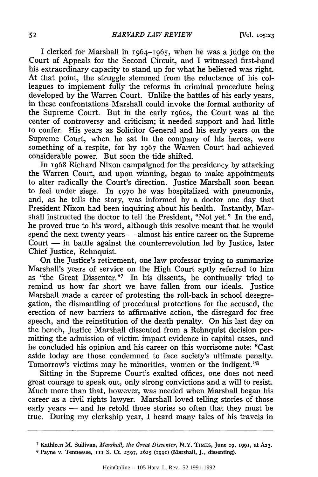I clerked for Marshall in 1964-1965, when he was a judge on the Court of Appeals for the Second Circuit, and I witnessed first-hand his extraordinary capacity to stand up for what he believed was right. At that point, the struggle stemmed from the reluctance of his colleagues to implement fully the reforms in criminal procedure being developed by the Warren Court. Unlike the battles of his early years, in these confrontations Marshall could invoke the formal authority of the Supreme Court. But in the early x96os, the Court was at the center of controversy and criticism; it needed support and had little to confer. His years as Solicitor General and his early years on the Supreme Court, when he sat in the company of his heroes, were something of a respite, for by 1967 the Warren Court had achieved considerable power. But soon the tide shifted.

In 1968 Richard Nixon campaigned for the presidency by attacking the Warren Court, and upon winning, began to make appointments to alter radically the Court's direction. Justice Marshall soon began to feel under siege. In 197o he was hospitalized with pneumonia, and, as he tells the story, was informed by a doctor one day that President Nixon had been inquiring about his health. Instantly, Marshall instructed the doctor to tell the President, "Not yet." In the end, he proved true to his word, although this resolve meant that he would spend the next twenty years — almost his entire career on the Supreme Court  $-$  in battle against the counterrevolution led by Justice, later Chief Justice, Rehnquist.

On the Justice's retirement, one law professor trying to summarize Marshall's years of service on the High Court aptly referred to him as "the Great Dissenter."7 In his dissents, he continually tried to remind us how far short we have fallen from our ideals. Justice Marshall made a career of protesting the roll-back in school desegregation, the dismantling of procedural protections for the accused, the erection of new barriers to affirmative action, the disregard for free speech, and the reinstitution of the death penalty. On his last day on the bench, Justice Marshall dissented from a Rehnquist decision permitting the admission of victim impact evidence in capital cases, and he concluded his opinion and his career on this worrisome note: "Cast aside today are those condemned to face society's ultimate penalty. Tomorrow's victims may be minorities, women or the indigent."8

Sitting in the Supreme Court's exalted offices, one does not need great courage to speak out, only strong convictions and a will to resist. Much more than that, however, was needed when Marshall began his career as a civil rights lawyer. Marshall loved telling stories of those early years - and he retold those stories so often that they must be true. During my clerkship year, I heard many tales of his travels in

**<sup>7</sup>** Kathleen M. Sullivan, *Marshall,* the Great *Dissenter,* N.Y. TIMEs, June **29, 1991,** at **A2 <sup>3</sup> . 8** Payne v. Tennessee, **IiI** S. Ct. 2597, 26 <sup>25</sup>**(iggi)** (Marshall, J., dissenting).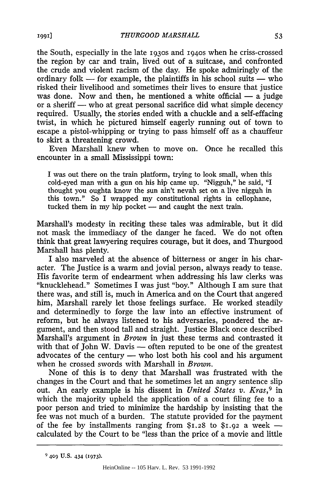the South, especially in the late 193os and **1940S** when he criss-crossed the region by car and train, lived out of a suitcase, and confronted the crude and violent racism of the day. He spoke admiringly of the ordinary folk  $-$  for example, the plaintiffs in his school suits  $-$  who risked their livelihood and sometimes their lives to ensure that justice was done. Now and then, he mentioned a white official  $-$  a judge or a sheriff  $-$  who at great personal sacrifice did what simple decency required. Usually, the stories ended with a chuckle and a self-effacing twist, in which he pictured himself eagerly running out of town to escape a pistol-whipping or trying to pass himself off as a chauffeur to skirt a threatening crowd.

Even Marshall knew when to move on. Once he recalled this encounter in a small Mississippi town:

I was out there on the train platform, trying to look small, when this cold-eyed man with a gun on his hip came up. "Nigguh," he said, "I thought you oughta know the sun ain't nevah set on a live nigguh in this town." So I wrapped my constitutional rights in cellophane, tucked them in my hip pocket  $-$  and caught the next train.

Marshall's modesty in reciting these tales was admirable, but it did not mask the immediacy of the danger he faced. We do not often think that great lawyering requires courage, but it does, and Thurgood Marshall has plenty.

I also marveled at the absence of bitterness or anger in his character. The Justice is a warm and jovial person, always ready to tease. His favorite term of endearment when addressing his law clerks was "knucklehead." Sometimes I was just "boy." Although I am sure that there was, and still is, much in America and on the Court that angered him, Marshall rarely let those feelings surface. He worked steadily and determinedly to forge the law into an effective instrument of reform, but he always listened to his adversaries, pondered the argument, and then stood tall and straight. Justice Black once described Marshall's argument in *Brown* in just these terms and contrasted it with that of John W. Davis - often reputed to be one of the greatest advocates of the century  $-\omega$  who lost both his cool and his argument when he crossed swords with Marshall in *Brown.*

None of this is to deny that Marshall was frustrated with the changes in the Court and that he sometimes let an angry sentence slip out. An early example is his dissent in *United States v. Kras,9* in which the majority upheld the application of a court filing fee to a poor person and tried to minimize the hardship by insisting that the fee was not much of a burden. The statute provided for the payment of the fee by installments ranging from \$1.28 to \$1.92 a week  calculated by the Court to be "less than the price of a movie and little

**<sup>9</sup>** 409 **U.S.** 434 (1973).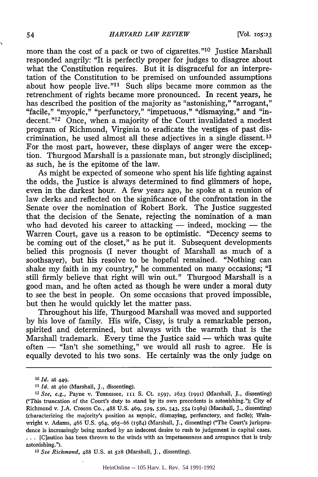more than the cost of a pack or two of cigarettes."<sup>10</sup> Justice Marshall responded angrily: "It is perfectly proper for judges to disagree about what the Constitution requires. But it is disgraceful for an interpretation of the Constitution to be premised on unfounded assumptions about how people live." $11$  Such slips became more common as the retrenchment of rights became more pronounced. In recent years, he has described the position of the majority as "astonishing," "arrogant," "facile," "myopic," "perfunctory," "impetuous," "dismaying," and "indecent."<sup>12</sup> Once, when a majority of the Court invalidated a modest program of Richmond, Virginia to eradicate the vestiges of past discrimination, he used almost all these adjectives in a single dissent.<sup>13</sup> For the most part, however, these displays of anger were the exception. Thurgood Marshall is a passionate man, but strongly disciplined; as such, he is the epitome of the law.

As might be expected of someone who spent his life fighting against the odds, the Justice is always determined to find glimmers of hope, even in the darkest hour. A few years ago, he spoke at a reunion of law clerks and reflected on the significance of the confrontation in the Senate over the nomination of Robert Bork. The Justice suggested that the decision of the Senate, rejecting the nomination of a man who had devoted his career to attacking  $-$  indeed, mocking  $-$  the Warren Court, gave us a reason to be optimistic. "Decency seems to be coming out of the closet," as he put it. Subsequent developments belied this prognosis (I never thought of Marshall as much of a soothsayer), but his resolve to be hopeful remained. "Nothing can shake my faith in my country," he commented on many occasions; "I still firmly believe that right will win out." Thurgood Marshall is a good man, and he often acted as though he were under a moral duty to see the best in people. On some occasions that proved impossible, but then he would quickly let the matter pass.

Throughout his life, Thurgood Marshall was moved and supported by his love of family. His wife, Cissy, is truly a remarkable person, spirited and determined, but always with the warmth that is the Marshall trademark. Every time the Justice said — which was quite often  $-$  "Isn't she something," we would all rush to agree. He is equally devoted to his two sons. He certainly was the only judge on

*<sup>10</sup> Id.* at 449.

*<sup>11</sup> Id.* at **460** (Marshall, J., dissenting).

*<sup>12</sup> See, e.g.,* Payne v. Tennessee, rI **S.** Ct. **2597, 2623 (199i)** (Marshall, J., dissenting) ("This truncation of the Court's duty to stand by its own precedents is astonishing."); City of Richmond v. J.A. Croson Co., 488 U.S. 469, **529, 530,** 543, 554 (i989) (Marshall, J., dissenting) (characterizing the majority's position as myopic, dismaying, perfunctory, and facile); Wainwright v. Adams, 466 U.S. 964, 965-66 (1984) (Marshall, **J.,** dissenting) ("The Court's jurisprudence is increasingly being marked by an indecent desire to rush to judgement in capital cases. **...** [C]aution has been thrown to the winds with an impetuousness and arrogance that is truly astonishing.").

*<sup>13</sup>See Richmond,* 488 U.S. at **528** (Marshall, **J.,** dissenting).